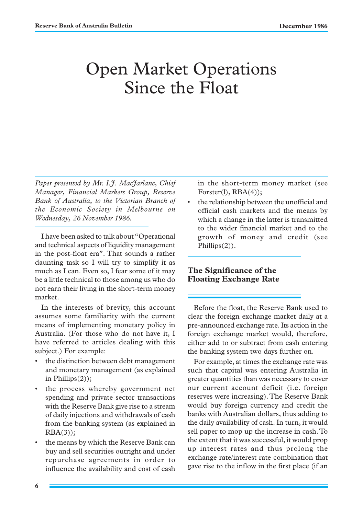# Open Market Operations Since the Float

*Paper presented by Mr. I.J. MacJarlane, Chief Manager, Financial Markets Group, Reserve Bank of Australia, to the Victorian Branch of the Economic Society in Melbourne on Wednesday, 26 November 1986.*

I have been asked to talk about "Operational and technical aspects of liquidity management in the post-float era". That sounds a rather daunting task so I will try to simplify it as much as I can. Even so, I fear some of it may be a little technical to those among us who do not earn their living in the short-term money market.

In the interests of brevity, this account assumes some familiarity with the current means of implementing monetary policy in Australia. (For those who do not have it, I have referred to articles dealing with this subject.) For example:

- the distinction between debt management and monetary management (as explained in Phillips(2));
- the process whereby government net spending and private sector transactions with the Reserve Bank give rise to a stream of daily injections and withdrawals of cash from the banking system (as explained in  $RBA(3)$ ;
- the means by which the Reserve Bank can buy and sell securities outright and under repurchase agreements in order to influence the availability and cost of cash

in the short-term money market (see  $Forster(1), RBA(4));$ 

the relationship between the unofficial and official cash markets and the means by which a change in the latter is transmitted to the wider financial market and to the growth of money and credit (see Phillips(2)).

# **The Significance of the Floating Exchange Rate**

Before the float, the Reserve Bank used to clear the foreign exchange market daily at a pre-announced exchange rate. Its action in the foreign exchange market would, therefore, either add to or subtract from cash entering the banking system two days further on.

For example, at times the exchange rate was such that capital was entering Australia in greater quantities than was necessary to cover our current account deficit (i.e. foreign reserves were increasing). The Reserve Bank would buy foreign currency and credit the banks with Australian dollars, thus adding to the daily availability of cash. In turn, it would sell paper to mop up the increase in cash. To the extent that it was successful, it would prop up interest rates and thus prolong the exchange rate/interest rate combination that gave rise to the inflow in the first place (if an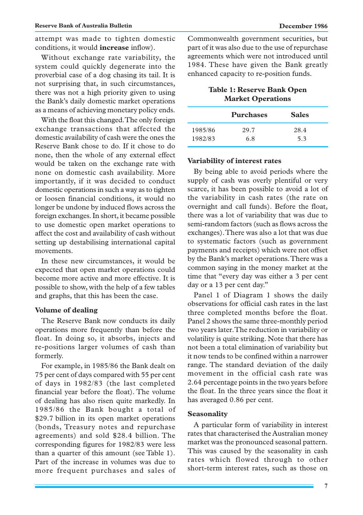attempt was made to tighten domestic conditions, it would **increase** inflow).

Without exchange rate variability, the system could quickly degenerate into the proverbial case of a dog chasing its tail. It is not surprising that, in such circumstances, there was not a high priority given to using the Bank's daily domestic market operations as a means of achieving monetary policy ends.

With the float this changed. The only foreign exchange transactions that affected the domestic availability of cash were the ones the Reserve Bank chose to do. If it chose to do none, then the whole of any external effect would be taken on the exchange rate with none on domestic cash availability. More importantly, if it was decided to conduct domestic operations in such a way as to tighten or loosen financial conditions, it would no longer be undone by induced flows across the foreign exchanges. In short, it became possible to use domestic open market operations to affect the cost and availability of cash without setting up destabilising international capital movements.

In these new circumstances, it would be expected that open market operations could become more active and more effective. It is possible to show, with the help of a few tables and graphs, that this has been the case.

#### **Volume of dealing**

The Reserve Bank now conducts its daily operations more frequently than before the float. In doing so, it absorbs, injects and re-positions larger volumes of cash than formerly.

For example, in 1985/86 the Bank dealt on 75 per cent of days compared with 55 per cent of days in 1982/83 (the last completed financial year before the float). The volume of dealing has also risen quite markedly. In 1985/86 the Bank bought a total of \$29.7 billion in its open market operations (bonds, Treasury notes and repurchase agreements) and sold \$28.4 billion. The corresponding figures for 1982/83 were less than a quarter of this amount (see Table 1). Part of the increase in volumes was due to more frequent purchases and sales of Commonwealth government securities, but part of it was also due to the use of repurchase agreements which were not introduced until 1984. These have given the Bank greatly enhanced capacity to re-position funds.

## **Table 1: Reserve Bank Open Market Operations**

|         | <b>Purchases</b> | <b>Sales</b> |
|---------|------------------|--------------|
| 1985/86 | 29.7             | 28.4         |
| 1982/83 | 6.8              | 5.3          |

#### **Variability of interest rates**

By being able to avoid periods where the supply of cash was overly plentiful or very scarce, it has been possible to avoid a lot of the variability in cash rates (the rate on overnight and call funds). Before the float, there was a lot of variability that was due to semi-random factors (such as flows across the exchanges). There was also a lot that was due to systematic factors (such as government payments and receipts) which were not offset by the Bank's market operations. There was a common saying in the money market at the time that "every day was either a 3 per cent day or a 13 per cent day."

Panel 1 of Diagram 1 shows the daily observations for official cash rates in the last three completed months before the float. Panel 2 shows the same three-monthly period two years later. The reduction in variability or volatility is quite striking. Note that there has not been a total elimination of variability but it now tends to be confined within a narrower range. The standard deviation of the daily movement in the official cash rate was 2.64 percentage points in the two years before the float. In the three years since the float it has averaged 0.86 per cent.

#### **Seasonality**

A particular form of variability in interest rates that characterised the Australian money market was the pronounced seasonal pattern. This was caused by the seasonality in cash rates which flowed through to other short-term interest rates, such as those on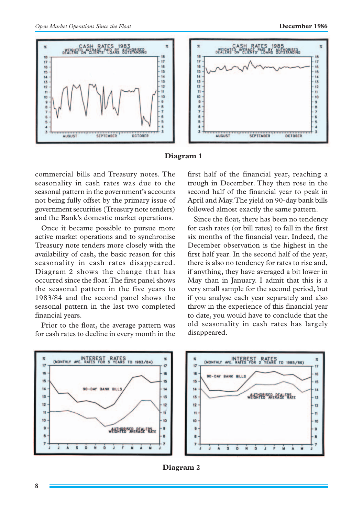

#### **Diagram 1**

commercial bills and Treasury notes. The seasonality in cash rates was due to the seasonal pattern in the government's accounts not being fully offset by the primary issue of government securities (Treasury note tenders) and the Bank's domestic market operations.

Once it became possible to pursue more active market operations and to synchronise Treasury note tenders more closely with the availability of cash, the basic reason for this seasonality in cash rates disappeared. Diagram 2 shows the change that has occurred since the float. The first panel shows the seasonal pattern in the five years to 1983/84 and the second panel shows the seasonal pattern in the last two completed financial years.

Prior to the float, the average pattern was for cash rates to decline in every month in the first half of the financial year, reaching a trough in December. They then rose in the second half of the financial year to peak in April and May. The yield on 90-day bank bills followed almost exactly the same pattern.

Since the float, there has been no tendency for cash rates (or bill rates) to fall in the first six months of the financial year. Indeed, the December observation is the highest in the first half year. In the second half of the year, there is also no tendency for rates to rise and, if anything, they have averaged a bit lower in May than in January. I admit that this is a very small sample for the second period, but if you analyse each year separately and also throw in the experience of this financial year to date, you would have to conclude that the old seasonality in cash rates has largely disappeared.



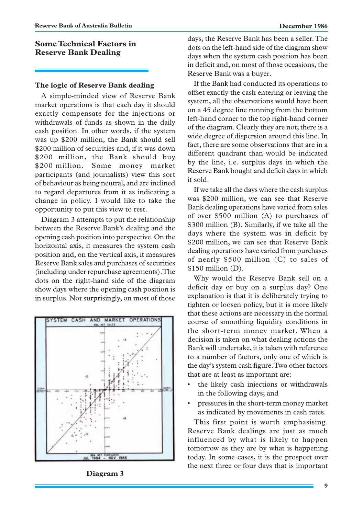# **Some Technical Factors in Reserve Bank Dealing**

## **The logic of Reserve Bank dealing**

A simple-minded view of Reserve Bank market operations is that each day it should exactly compensate for the injections or withdrawals of funds as shown in the daily cash position. In other words, if the system was up \$200 million, the Bank should sell \$200 million of securities and, if it was down \$200 million, the Bank should buy \$200 million. Some money market participants (and journalists) view this sort of behaviour as being neutral, and are inclined to regard departures from it as indicating a change in policy. I would like to take the opportunity to put this view to rest.

Diagram 3 attempts to put the relationship between the Reserve Bank's dealing and the opening cash position into perspective. On the horizontal axis, it measures the system cash position and, on the vertical axis, it measures Reserve Bank sales and purchases of securities (including under repurchase agreements). The dots on the right-hand side of the diagram show days where the opening cash position is in surplus. Not surprisingly, on most of those



**Diagram 3**

days, the Reserve Bank has been a seller. The dots on the left-hand side of the diagram show days when the system cash position has been in deficit and, on most of those occasions, the Reserve Bank was a buyer.

If the Bank had conducted its operations to offset exactly the cash entering or leaving the system, all the observations would have been on a 45 degree line running from the bottom left-hand corner to the top right-hand corner of the diagram. Clearly they are not; there is a wide degree of dispersion around this line. In fact, there are some observations that are in a different quadrant than would be indicated by the line, i.e. surplus days in which the Reserve Bank bought and deficit days in which it sold.

If we take all the days where the cash surplus was \$200 million, we can see that Reserve Bank dealing operations have varied from sales of over \$500 million (A) to purchases of \$300 million (B). Similarly, if we take all the days where the system was in deficit by \$200 million, we can see that Reserve Bank dealing operations have varied from purchases of nearly \$500 million (C) to sales of \$150 million (D).

Why would the Reserve Bank sell on a deficit day or buy on a surplus day? One explanation is that it is deliberately trying to tighten or loosen policy, but it is more likely that these actions are necessary in the normal course of smoothing liquidity conditions in the short-term money market. When a decision is taken on what dealing actions the Bank will undertake, it is taken with reference to a number of factors, only one of which is the day's system cash figure. Two other factors that are at least as important are:

- the likely cash injections or withdrawals in the following days; and
- pressures in the short-term money market as indicated by movements in cash rates.

This first point is worth emphasising. Reserve Bank dealings are just as much influenced by what is likely to happen tomorrow as they are by what is happening today. In some cases, it is the prospect over the next three or four days that is important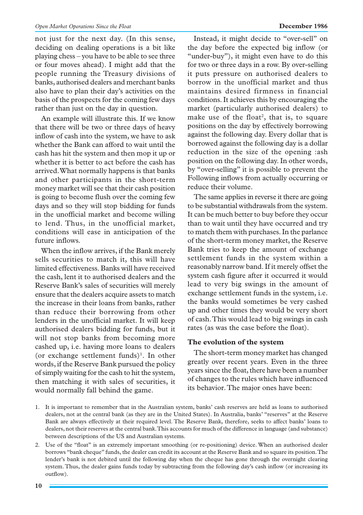not just for the next day. (In this sense, deciding on dealing operations is a bit like playing chess – you have to be able to see three or four moves ahead). I might add that the people running the Treasury divisions of banks, authorised dealers and merchant banks also have to plan their day's activities on the basis of the prospects for the coming few days rather than just on the day in question.

An example will illustrate this. If we know that there will be two or three days of heavy inflow of cash into the system, we have to ask whether the Bank can afford to wait until the cash has hit the system and then mop it up or whether it is better to act before the cash has arrived. What normally happens is that banks and other participants in the short-term money market will see that their cash position is going to become flush over the coming few days and so they will stop bidding for funds in the unofficial market and become willing to lend. Thus, in the unofficial market, conditions will ease in anticipation of the future inflows.

When the inflow arrives, if the Bank merely sells securities to match it, this will have limited effectiveness. Banks will have received the cash, lent it to authorised dealers and the Reserve Bank's sales of securities will merely ensure that the dealers acquire assets to match the increase in their loans from banks, rather than reduce their borrowing from other lenders in the unofficial market. It will keep authorised dealers bidding for funds, but it will not stop banks from becoming more cashed up, i.e. having more loans to dealers (or exchange settlement funds)<sup>1</sup>. In other words, if the Reserve Bank pursued the policy of simply waiting for the cash to hit the system, then matching it with sales of securities, it would normally fall behind the game.

Instead, it might decide to "over-sell" on the day before the expected big inflow (or "under-buy"), it might even have to do this for two or three days in a row. By over-selling it puts pressure on authorised dealers to borrow in the unofficial market and thus maintains desired firmness in financial conditions. It achieves this by encouraging the market (particularly authorised dealers) to make use of the float<sup>2</sup>, that is, to square positions on the day by effectively borrowing against the following day. Every dollar that is borrowed against the following day is a dollar reduction in the size of the opening :ash position on the following day. In other words, by "over-selling" it is possible to prevent the Following inflows from actually occurring or reduce their volume.

The same applies in reverse it there are going to be substantial withdrawals from the system. It can be much better to buy before they occur than to wait until they have occurred and try to match them with purchases. In the parlance of the short-term money market, the Reserve Bank tries to keep the amount of exchange settlement funds in the system within a reasonably narrow band. If it merely offset the system cash figure after it occurred it would lead to very big swings in the amount of exchange settlement funds in the system, i.e. the banks would sometimes be very cashed up and other times they would be very short of cash. This would lead to big swings in cash rates (as was the case before the float).

## **The evolution of the system**

The short-term money market has changed greatly over recent years. Even in the three years since the float, there have been a number of changes to the rules which have influenced its behavior. The major ones have been:

<sup>1.</sup> It is important to remember that in the Australian system, banks' cash reserves are held as loans to authorised dealers, not at the central bank (as they are in the United States). In Australia, banks' "reserves" at the Reserve Bank are always effectively at their required level. The Reserve Bank, therefore, seeks to affect banks' loans to dealers, not their reserves at the central bank. This accounts for much of the difference in language (and substance) between descriptions of the US and Australian systems.

<sup>2.</sup> Use of the "float" is an extremely important smoothing (or re-positioning) device. When an authorised dealer borrows "bank cheque" funds, the dealer can credit its account at the Reserve Bank and so square its position. The lender's bank is not debited until the following day when the cheque has gone through the overnight clearing system. Thus, the dealer gains funds today by subtracting from the following day's cash inflow (or increasing its outflow).